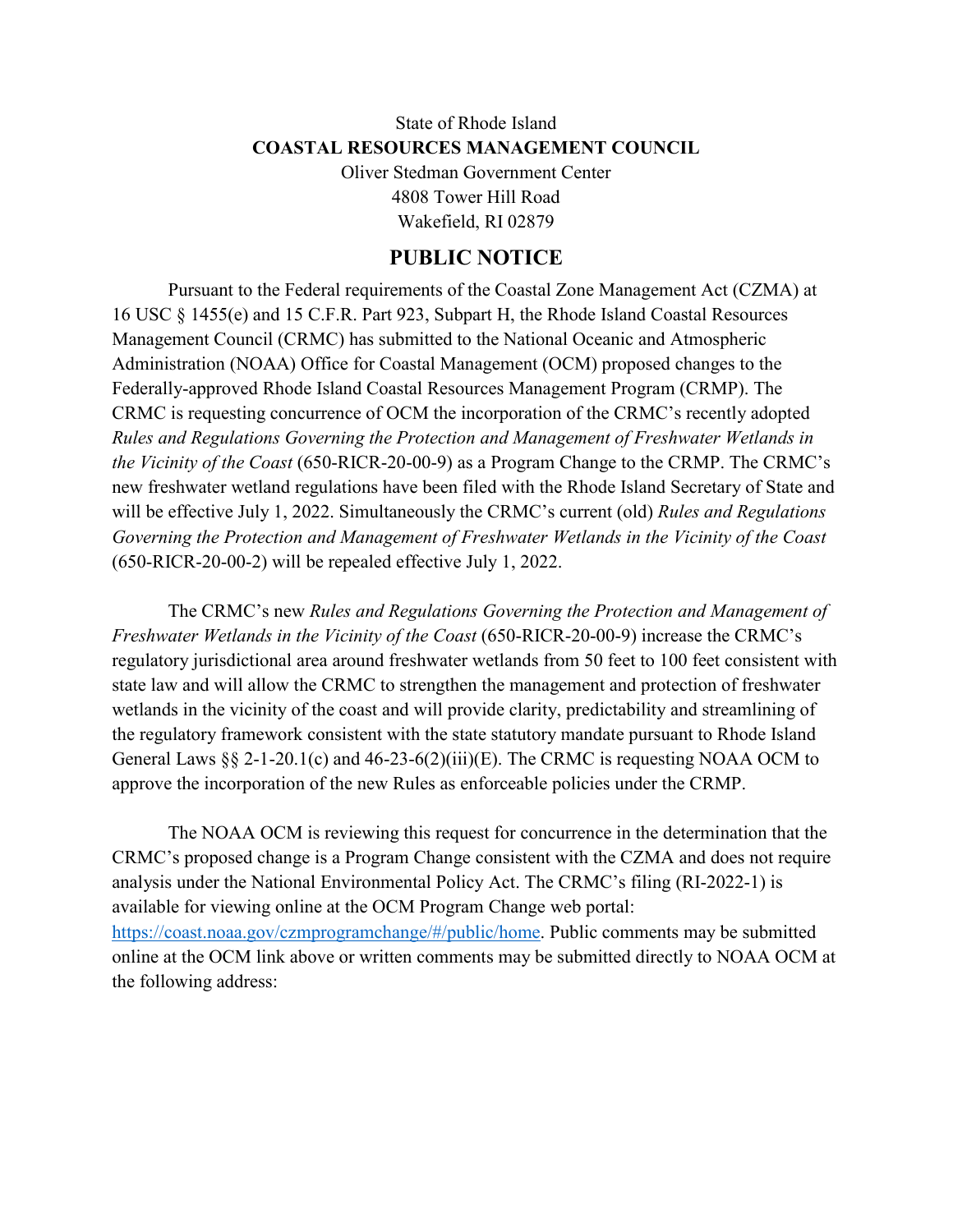## State of Rhode Island **COASTAL RESOURCES MANAGEMENT COUNCIL** Oliver Stedman Government Center

4808 Tower Hill Road Wakefield, RI 02879

## **PUBLIC NOTICE**

Pursuant to the Federal requirements of the Coastal Zone Management Act (CZMA) at 16 USC § 1455(e) and 15 C.F.R. Part 923, Subpart H, the Rhode Island Coastal Resources Management Council (CRMC) has submitted to the National Oceanic and Atmospheric Administration (NOAA) Office for Coastal Management (OCM) proposed changes to the Federally-approved Rhode Island Coastal Resources Management Program (CRMP). The CRMC is requesting concurrence of OCM the incorporation of the CRMC's recently adopted *Rules and Regulations Governing the Protection and Management of Freshwater Wetlands in the Vicinity of the Coast* (650-RICR-20-00-9) as a Program Change to the CRMP. The CRMC's new freshwater wetland regulations have been filed with the Rhode Island Secretary of State and will be effective July 1, 2022. Simultaneously the CRMC's current (old) *Rules and Regulations Governing the Protection and Management of Freshwater Wetlands in the Vicinity of the Coast* (650-RICR-20-00-2) will be repealed effective July 1, 2022.

The CRMC's new *Rules and Regulations Governing the Protection and Management of Freshwater Wetlands in the Vicinity of the Coast* (650-RICR-20-00-9) increase the CRMC's regulatory jurisdictional area around freshwater wetlands from 50 feet to 100 feet consistent with state law and will allow the CRMC to strengthen the management and protection of freshwater wetlands in the vicinity of the coast and will provide clarity, predictability and streamlining of the regulatory framework consistent with the state statutory mandate pursuant to Rhode Island General Laws §§ 2-1-20.1(c) and 46-23-6(2)(iii)(E). The CRMC is requesting NOAA OCM to approve the incorporation of the new Rules as enforceable policies under the CRMP.

The NOAA OCM is reviewing this request for concurrence in the determination that the CRMC's proposed change is a Program Change consistent with the CZMA and does not require analysis under the National Environmental Policy Act. The CRMC's filing (RI-2022-1) is available for viewing online at the OCM Program Change web portal: [https://coast.noaa.gov/czmprogramchange/#/public/home.](https://coast.noaa.gov/czmprogramchange/#/public/home) Public comments may be submitted online at the OCM link above or written comments may be submitted directly to NOAA OCM at the following address: